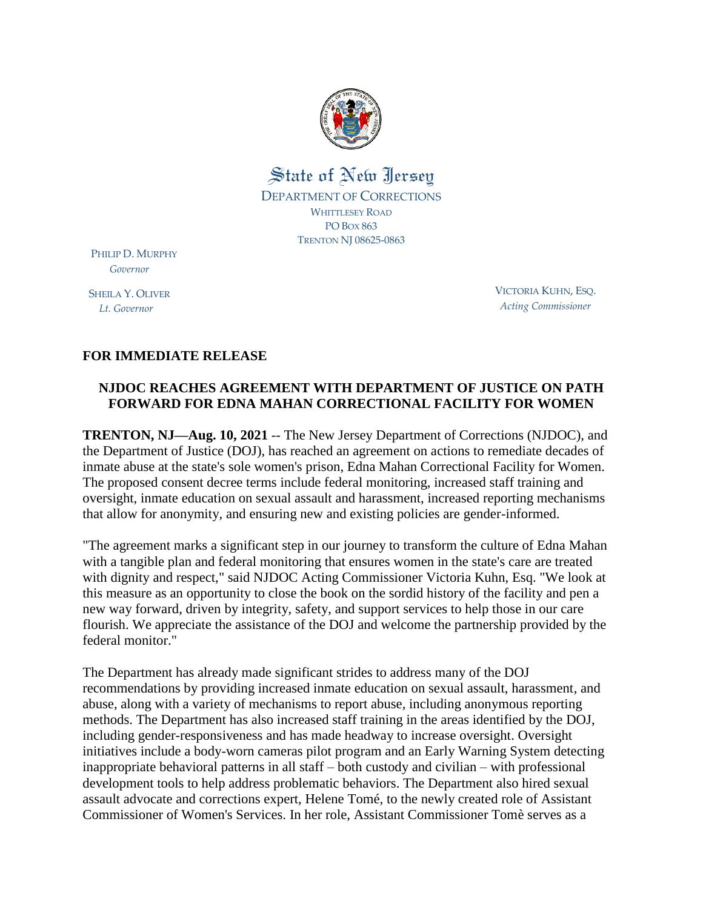

## State of New Jersey DEPARTMENT OF CORRECTIONS WHITTLESEY ROAD PO BOX 863 TRENTON NJ 08625-0863

PHILIP D. MURPHY  *Governor*

SHEILA Y. OLIVER  *Lt. Governor*

VICTORIA KUHN, ESQ. *Acting Commissioner*

## **FOR IMMEDIATE RELEASE**

## **NJDOC REACHES AGREEMENT WITH DEPARTMENT OF JUSTICE ON PATH FORWARD FOR EDNA MAHAN CORRECTIONAL FACILITY FOR WOMEN**

**TRENTON, NJ—Aug. 10, 2021** -- The New Jersey Department of Corrections (NJDOC), and the Department of Justice (DOJ), has reached an agreement on actions to remediate decades of inmate abuse at the state's sole women's prison, Edna Mahan Correctional Facility for Women. The proposed consent decree terms include federal monitoring, increased staff training and oversight, inmate education on sexual assault and harassment, increased reporting mechanisms that allow for anonymity, and ensuring new and existing policies are gender-informed.

"The agreement marks a significant step in our journey to transform the culture of Edna Mahan with a tangible plan and federal monitoring that ensures women in the state's care are treated with dignity and respect," said NJDOC Acting Commissioner Victoria Kuhn, Esq. "We look at this measure as an opportunity to close the book on the sordid history of the facility and pen a new way forward, driven by integrity, safety, and support services to help those in our care flourish. We appreciate the assistance of the DOJ and welcome the partnership provided by the federal monitor."

The Department has already made significant strides to address many of the DOJ recommendations by providing increased inmate education on sexual assault, harassment, and abuse, along with a variety of mechanisms to report abuse, including anonymous reporting methods. The Department has also increased staff training in the areas identified by the DOJ, including gender-responsiveness and has made headway to increase oversight. Oversight initiatives include a body-worn cameras pilot program and an Early Warning System detecting inappropriate behavioral patterns in all staff – both custody and civilian – with professional development tools to help address problematic behaviors. The Department also hired sexual assault advocate and corrections expert, Helene Tomé, to the newly created role of Assistant Commissioner of Women's Services. In her role, Assistant Commissioner Tomè serves as a